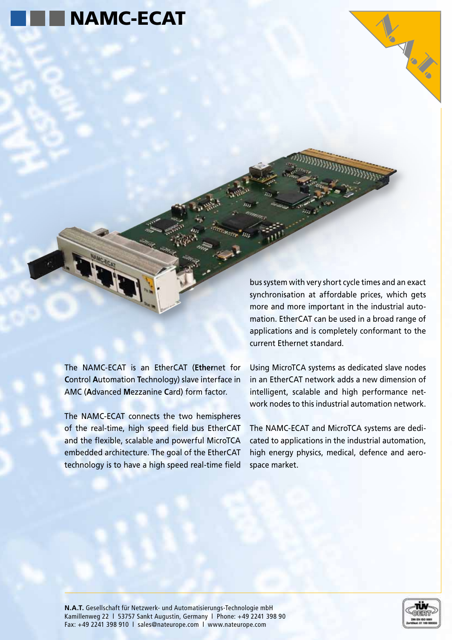

The NAMC-ECAT is an EtherCAT (**Ether**net for **C**ontrol **A**utomation **T**echnology) slave interface in AMC (**A**dvanced **M**ezzanine **C**ard) form factor.

The NAMC-ECAT connects the two hemispheres of the real-time, high speed field bus EtherCAT and the flexible, scalable and powerful MicroTCA embedded architecture. The goal of the EtherCAT technology is to have a high speed real-time field

bus system with very short cycle times and an exact synchronisation at affordable prices, which gets more and more important in the industrial automation. EtherCAT can be used in a broad range of applications and is completely conformant to the current Ethernet standard.

Using MicroTCA systems as dedicated slave nodes in an EtherCAT network adds a new dimension of intelligent, scalable and high performance network nodes to this industrial automation network.

The NAMC-ECAT and MicroTCA systems are dedicated to applications in the industrial automation, high energy physics, medical, defence and aerospace market.

**N.A.T.** Gesellschaft für Netzwerk- und Automatisierungs-Technologie mbH Kamillenweg 22 l 53757 Sankt Augustin, Germany l Phone: +49 2241 398 90 Fax: +49 2241 398 910 l sales@nateurope.com l www.nateurope.com



Volta R